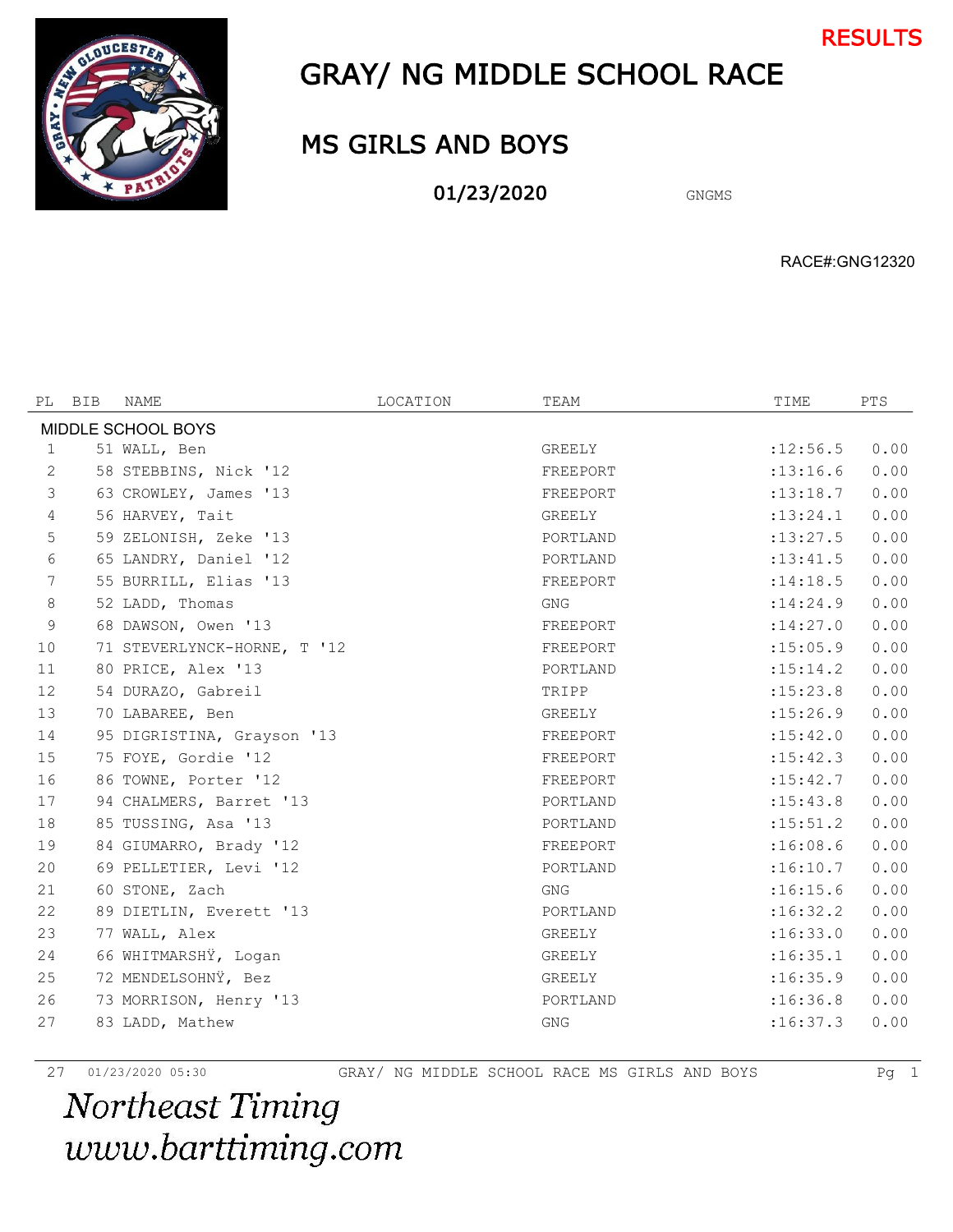



# GRAY/ NG MIDDLE SCHOOL RACE

# MS GIRLS AND BOYS

01/23/2020 GNGMS

RACE#:GNG12320

| PL                 | BIB | NAME                        | LOCATION | TEAM       | TIME       | <b>PTS</b> |  |  |  |
|--------------------|-----|-----------------------------|----------|------------|------------|------------|--|--|--|
| MIDDLE SCHOOL BOYS |     |                             |          |            |            |            |  |  |  |
| 1                  |     | 51 WALL, Ben                |          | GREELY     | : 12:56.5  | 0.00       |  |  |  |
| 2                  |     | 58 STEBBINS, Nick '12       |          | FREEPORT   | : 13: 16.6 | 0.00       |  |  |  |
| 3                  |     | 63 CROWLEY, James '13       |          | FREEPORT   | : 13: 18.7 | 0.00       |  |  |  |
| $\overline{4}$     |     | 56 HARVEY, Tait             |          | GREELY     | : 13: 24.1 | 0.00       |  |  |  |
| 5                  |     | 59 ZELONISH, Zeke '13       |          | PORTLAND   | : 13: 27.5 | 0.00       |  |  |  |
| 6                  |     | 65 LANDRY, Daniel '12       |          | PORTLAND   | : 13: 41.5 | 0.00       |  |  |  |
| $7\phantom{.0}$    |     | 55 BURRILL, Elias '13       |          | FREEPORT   | : 14:18.5  | 0.00       |  |  |  |
| 8                  |     | 52 LADD, Thomas             |          | <b>GNG</b> | : 14:24.9  | 0.00       |  |  |  |
| $\mathsf 9$        |     | 68 DAWSON, Owen '13         |          | FREEPORT   | : 14:27.0  | 0.00       |  |  |  |
| 10                 |     | 71 STEVERLYNCK-HORNE, T '12 |          | FREEPORT   | : 15:05.9  | 0.00       |  |  |  |
| 11                 |     | 80 PRICE, Alex '13          |          | PORTLAND   | : 15: 14.2 | 0.00       |  |  |  |
| 12                 |     | 54 DURAZO, Gabreil          |          | TRIPP      | :15:23.8   | 0.00       |  |  |  |
| 13                 |     | 70 LABAREE, Ben             |          | GREELY     | : 15:26.9  | 0.00       |  |  |  |
| 14                 |     | 95 DIGRISTINA, Grayson '13  |          | FREEPORT   | : 15:42.0  | 0.00       |  |  |  |
| 15                 |     | 75 FOYE, Gordie '12         |          | FREEPORT   | : 15: 42.3 | 0.00       |  |  |  |
| 16                 |     | 86 TOWNE, Porter '12        |          | FREEPORT   | : 15:42.7  | 0.00       |  |  |  |
| 17                 |     | 94 CHALMERS, Barret '13     |          | PORTLAND   | : 15: 43.8 | 0.00       |  |  |  |
| 18                 |     | 85 TUSSING, Asa '13         |          | PORTLAND   | : 15: 51.2 | 0.00       |  |  |  |
| 19                 |     | 84 GIUMARRO, Brady '12      |          | FREEPORT   | :16:08.6   | 0.00       |  |  |  |
| 20                 |     | 69 PELLETIER, Levi '12      |          | PORTLAND   | :16:10.7   | 0.00       |  |  |  |
| 21                 |     | 60 STONE, Zach              |          | <b>GNG</b> | :16:15.6   | 0.00       |  |  |  |
| 22                 |     | 89 DIETLIN, Everett '13     |          | PORTLAND   | :16:32.2   | 0.00       |  |  |  |
| 23                 |     | 77 WALL, Alex               |          | GREELY     | :16:33.0   | 0.00       |  |  |  |
| 24                 |     | 66 WHITMARSHŸ, Logan        |          | GREELY     | :16:35.1   | 0.00       |  |  |  |
| 25                 |     | 72 MENDELSOHNŸ, Bez         |          | GREELY     | :16:35.9   | 0.00       |  |  |  |
| 26                 |     | 73 MORRISON, Henry '13      |          | PORTLAND   | :16:36.8   | 0.00       |  |  |  |
| 27                 |     | 83 LADD, Mathew             |          | <b>GNG</b> | :16:37.3   | 0.00       |  |  |  |
|                    |     |                             |          |            |            |            |  |  |  |

01/23/2020 05:30 GRAY/ NG MIDDLE SCHOOL RACE MS GIRLS AND BOYS Pg 1

Northeast Timing www.barttiming.com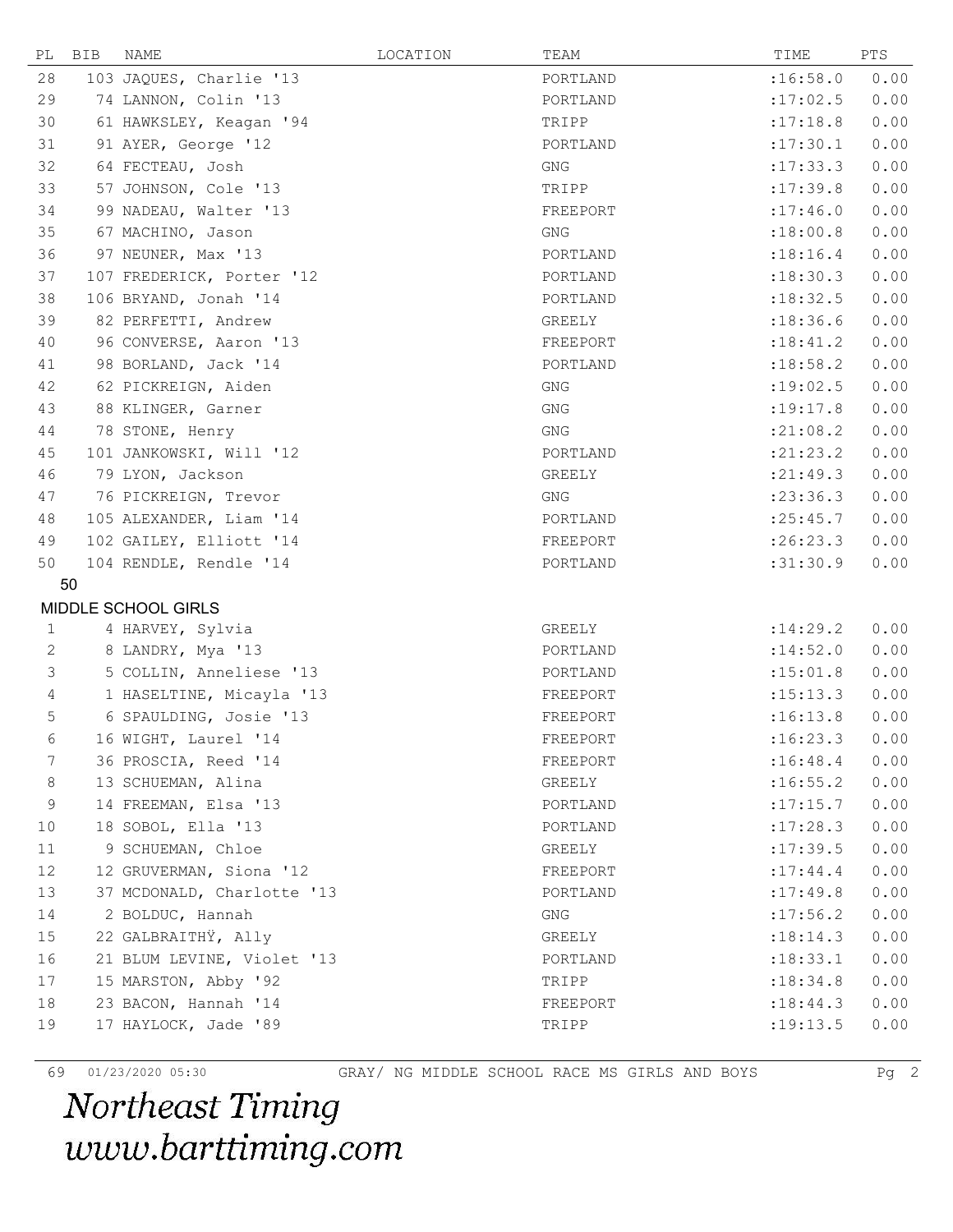| PL           | BIB | NAME                       | LOCATION | TEAM       | TIME       | PTS  |
|--------------|-----|----------------------------|----------|------------|------------|------|
| 28           |     | 103 JAQUES, Charlie '13    |          | PORTLAND   | :16:58.0   | 0.00 |
| 29           |     | 74 LANNON, Colin '13       |          | PORTLAND   | :17:02.5   | 0.00 |
| 30           |     | 61 HAWKSLEY, Keagan '94    |          | TRIPP      | :17:18.8   | 0.00 |
| 31           |     | 91 AYER, George '12        |          | PORTLAND   | :17:30.1   | 0.00 |
| 32           |     | 64 FECTEAU, Josh           |          | GNG        | : 17: 33.3 | 0.00 |
| 33           |     | 57 JOHNSON, Cole '13       |          | TRIPP      | :17:39.8   | 0.00 |
| 34           |     | 99 NADEAU, Walter '13      |          | FREEPORT   | :17:46.0   | 0.00 |
| 35           |     | 67 MACHINO, Jason          |          | <b>GNG</b> | :18:00.8   | 0.00 |
| 36           |     | 97 NEUNER, Max '13         |          | PORTLAND   | : 18:16.4  | 0.00 |
| 37           |     | 107 FREDERICK, Porter '12  |          | PORTLAND   | :18:30.3   | 0.00 |
| 38           |     | 106 BRYAND, Jonah '14      |          | PORTLAND   | : 18: 32.5 | 0.00 |
| 39           |     | 82 PERFETTI, Andrew        |          | GREELY     | : 18: 36.6 | 0.00 |
| 40           |     | 96 CONVERSE, Aaron '13     |          | FREEPORT   | :18:41.2   | 0.00 |
| 41           |     | 98 BORLAND, Jack '14       |          | PORTLAND   | : 18:58.2  | 0.00 |
| 42           |     | 62 PICKREIGN, Aiden        |          | <b>GNG</b> | :19:02.5   | 0.00 |
| 43           |     | 88 KLINGER, Garner         |          | <b>GNG</b> | :19:17.8   | 0.00 |
| 44           |     | 78 STONE, Henry            |          | <b>GNG</b> | : 21:08.2  | 0.00 |
| 45           |     | 101 JANKOWSKI, Will '12    |          | PORTLAND   | : 21: 23.2 | 0.00 |
| 46           |     | 79 LYON, Jackson           |          | GREELY     | : 21: 49.3 | 0.00 |
| 47           |     | 76 PICKREIGN, Trevor       |          | <b>GNG</b> | : 23:36.3  | 0.00 |
| 48           |     | 105 ALEXANDER, Liam '14    |          | PORTLAND   | : 25: 45.7 | 0.00 |
| 49           |     | 102 GAILEY, Elliott '14    |          | FREEPORT   | :26:23.3   | 0.00 |
| 50           |     | 104 RENDLE, Rendle '14     |          | PORTLAND   | :31:30.9   | 0.00 |
|              | 50  |                            |          |            |            |      |
|              |     | MIDDLE SCHOOL GIRLS        |          |            |            |      |
| 1            |     | 4 HARVEY, Sylvia           |          | GREELY     | :14:29.2   | 0.00 |
| $\mathbf{2}$ |     | 8 LANDRY, Mya '13          |          | PORTLAND   | :14:52.0   | 0.00 |
| 3            |     | 5 COLLIN, Anneliese '13    |          | PORTLAND   | :15:01.8   | 0.00 |
| 4            |     | 1 HASELTINE, Micayla '13   |          | FREEPORT   | :15:13.3   | 0.00 |
| 5            |     | 6 SPAULDING, Josie '13     |          | FREEPORT   | :16:13.8   | 0.00 |
| 6            |     | 16 WIGHT, Laurel '14       |          | FREEPORT   | :16:23.3   | 0.00 |
| 7            |     | 36 PROSCIA, Reed '14       |          | FREEPORT   | :16:48.4   | 0.00 |
| $\,8\,$      |     | 13 SCHUEMAN, Alina         |          | GREELY     | :16:55.2   | 0.00 |
| 9            |     | 14 FREEMAN, Elsa '13       |          | PORTLAND   | :17:15.7   | 0.00 |
| 10           |     | 18 SOBOL, Ella '13         |          | PORTLAND   | :17:28.3   | 0.00 |
| 11           |     | 9 SCHUEMAN, Chloe          |          | GREELY     | :17:39.5   | 0.00 |
| 12           |     | 12 GRUVERMAN, Siona '12    |          | FREEPORT   | : 17:44.4  | 0.00 |
| 13           |     | 37 MCDONALD, Charlotte '13 |          | PORTLAND   | :17:49.8   | 0.00 |
| 14           |     | 2 BOLDUC, Hannah           |          | <b>GNG</b> | : 17:56.2  | 0.00 |
| 15           |     | 22 GALBRAITHŸ, Ally        |          | GREELY     | : 18: 14.3 | 0.00 |
| 16           |     | 21 BLUM LEVINE, Violet '13 |          | PORTLAND   | :18:33.1   | 0.00 |
| 17           |     | 15 MARSTON, Abby '92       |          | TRIPP      | : 18:34.8  | 0.00 |
| 18           |     | 23 BACON, Hannah '14       |          | FREEPORT   | : 18: 44.3 | 0.00 |
| 19           |     | 17 HAYLOCK, Jade '89       |          | TRIPP      | : 19: 13.5 | 0.00 |
|              |     |                            |          |            |            |      |

69 01/23/2020 05:30 GRAY/ NG MIDDLE SCHOOL RACE MS GIRLS AND BOYS Pg 2<br> **Northeast Timing** www.barttiming.com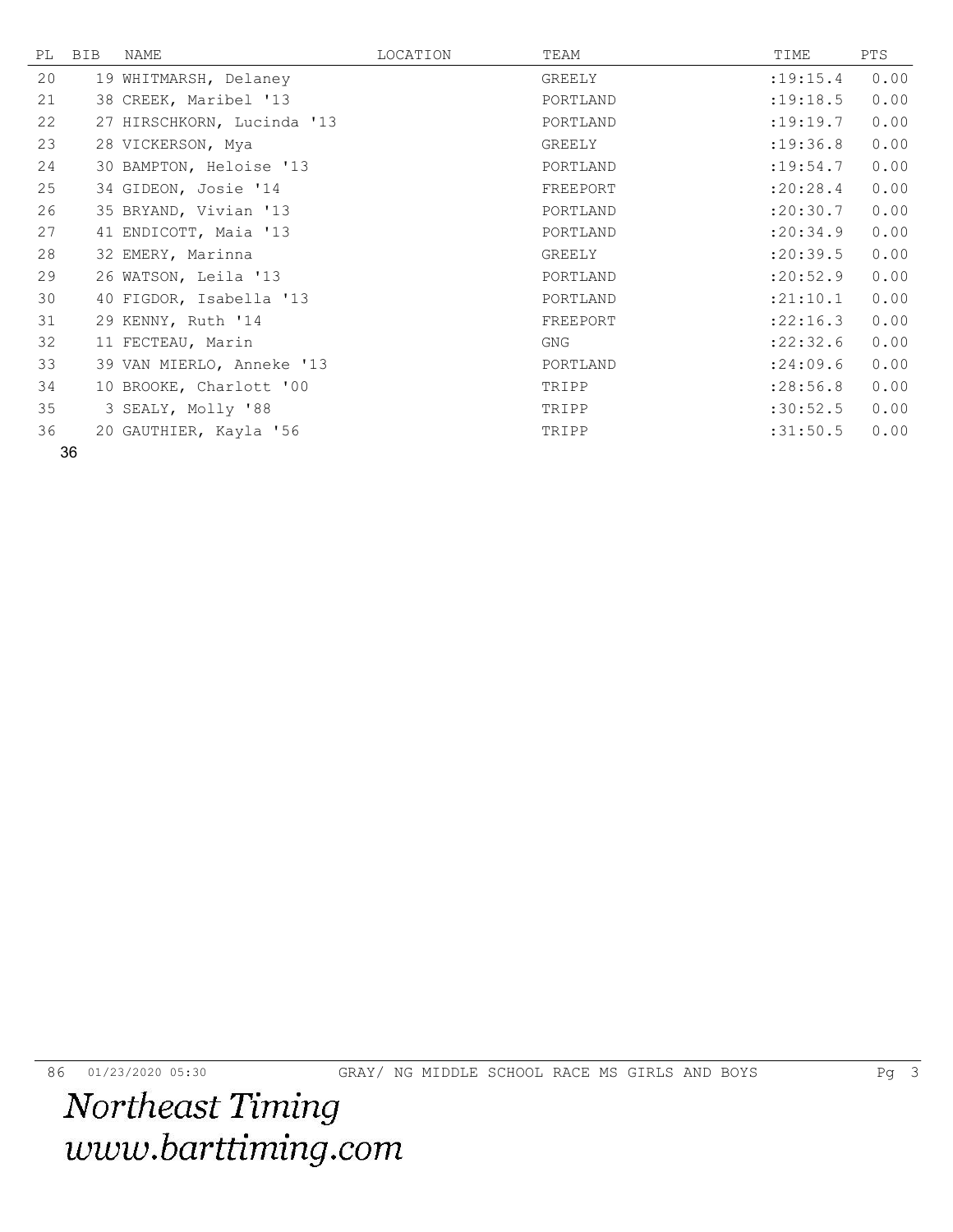| PL | BIB | NAME                       | LOCATION | TEAM     | TIME       | PTS  |
|----|-----|----------------------------|----------|----------|------------|------|
| 20 |     | 19 WHITMARSH, Delaney      |          | GREELY   | : 19: 15.4 | 0.00 |
| 21 |     | 38 CREEK, Maribel '13      |          | PORTLAND | :19:18.5   | 0.00 |
| 22 |     | 27 HIRSCHKORN, Lucinda '13 |          | PORTLAND | :19:19.7   | 0.00 |
| 23 |     | 28 VICKERSON, Mya          |          | GREELY   | :19:36.8   | 0.00 |
| 24 |     | 30 BAMPTON, Heloise '13    |          | PORTLAND | : 19:54.7  | 0.00 |
| 25 |     | 34 GIDEON, Josie '14       |          | FREEPORT | :20:28.4   | 0.00 |
| 26 |     | 35 BRYAND, Vivian '13      |          | PORTLAND | : 20: 30.7 | 0.00 |
| 27 |     | 41 ENDICOTT, Maia '13      |          | PORTLAND | : 20:34.9  | 0.00 |
| 28 |     | 32 EMERY, Marinna          |          | GREELY   | : 20: 39.5 | 0.00 |
| 29 |     | 26 WATSON, Leila '13       |          | PORTLAND | : 20:52.9  | 0.00 |
| 30 |     | 40 FIGDOR, Isabella '13    |          | PORTLAND | :21:10.1   | 0.00 |
| 31 |     | 29 KENNY, Ruth '14         |          | FREEPORT | :22:16.3   | 0.00 |
| 32 |     | 11 FECTEAU, Marin          |          | GNG      | : 22: 32.6 | 0.00 |
| 33 |     | 39 VAN MIERLO, Anneke '13  |          | PORTLAND | : 24:09.6  | 0.00 |
| 34 |     | 10 BROOKE, Charlott '00    |          | TRIPP    | : 28:56.8  | 0.00 |
| 35 |     | 3 SEALY, Molly '88         |          | TRIPP    | :30:52.5   | 0.00 |
| 36 |     | 20 GAUTHIER, Kayla '56     |          | TRIPP    | :31:50.5   | 0.00 |

86 01/23/2020 05:30 GRAY/ NG MIDDLE SCHOOL RACE MS GIRLS AND BOYS Pg 3<br> **Northeast Timing** www.barttiming.com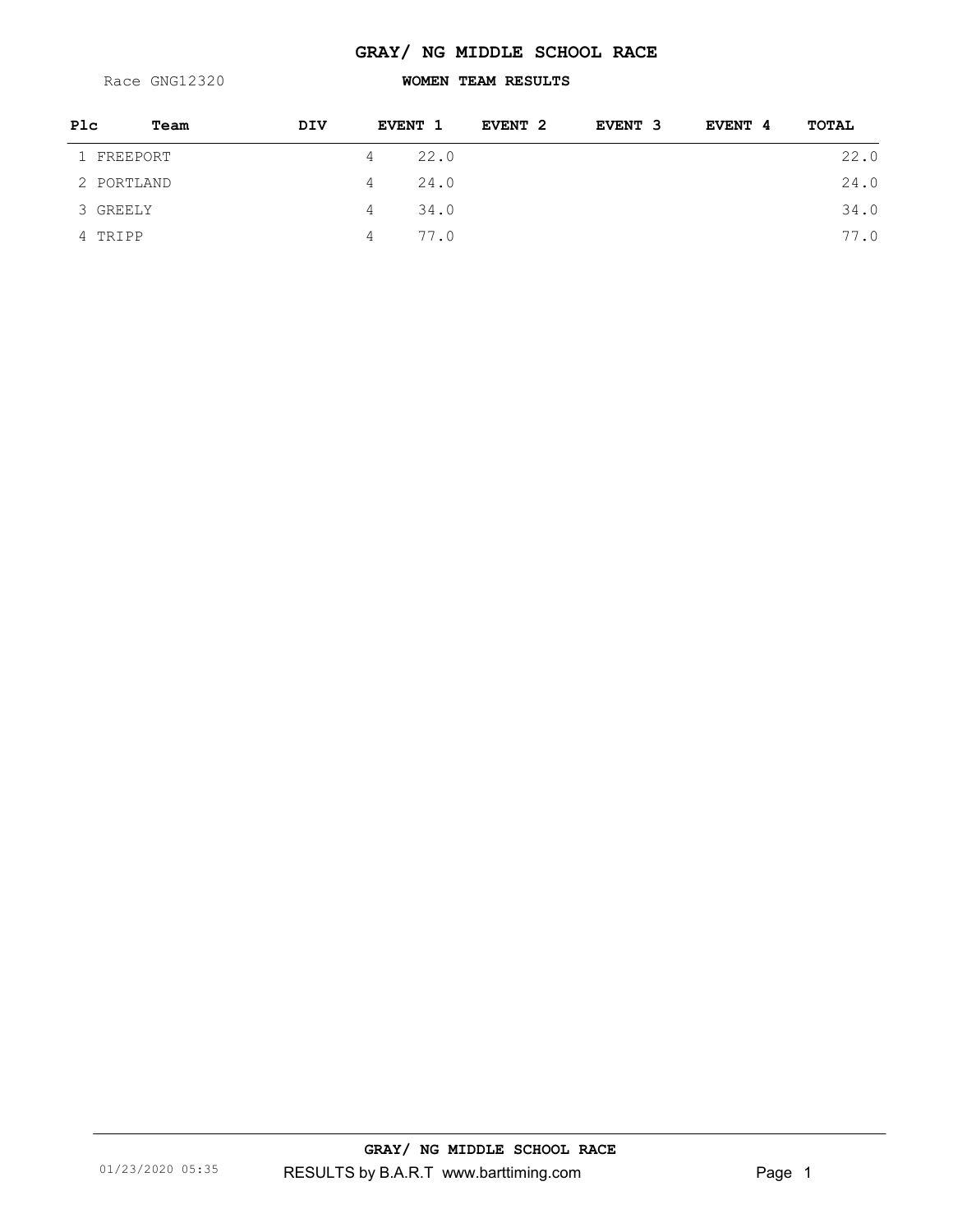### **GRAY/ NG MIDDLE SCHOOL RACE**

Race GNG12320

## **WOMEN TEAM RESULTS**

| Plc        | Team | <b>DIV</b> | <b>EVENT 1</b> |      | EVENT 2 | EVENT 3 | EVENT 4 | TOTAL |
|------------|------|------------|----------------|------|---------|---------|---------|-------|
| 1 FREEPORT |      | 4          |                | 22.0 |         |         |         | 22.0  |
| 2 PORTLAND |      | 4          |                | 24.0 |         |         |         | 24.0  |
| 3 GREELY   |      | 4          |                | 34.0 |         |         |         | 34.0  |
| 4 TRIPP    |      | 4          |                | 77.0 |         |         |         | 77.0  |